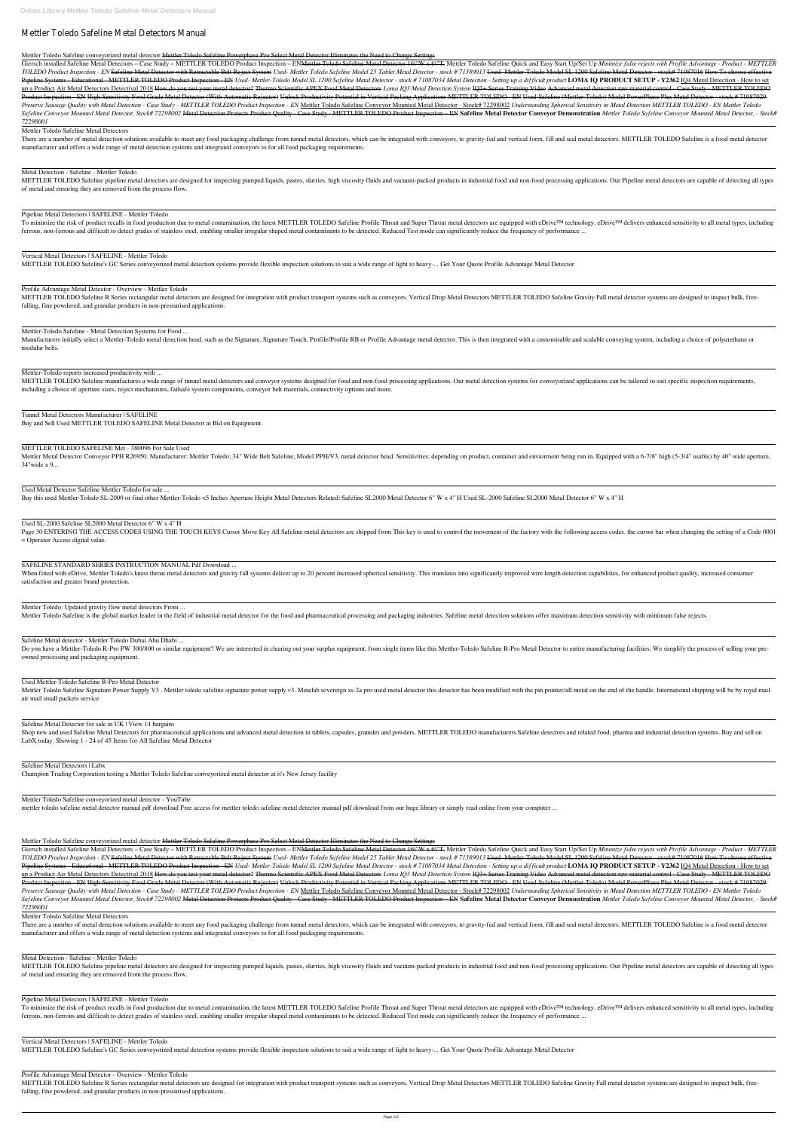# Mettler Toledo Safeline Metal Detectors Manual

# Mettler Toledo Safeline conveyorized metal detector Mettler Toledo Safeline Powerphase Pro Select Metal Detector Eliminates the Need to Change Settings

Giersch installed Safeline Metal Detectors – Case Study – METTLER TOLEDO Product Inspection – EN<del>Mettler Toledo Safeline Metal Detector 16\"W x 6\"T.</del> Mettler Toledo Safeline Ouick and Easy Start Up/Set Up *Minimize false* TOLEDO Product Inspection - EN Safeline Metal Detector with Retractable Belt Reject System Used- Mettler Toledo Safeline Model 25 Tablet Metal Detector - stock # 71389013 Used- Mettler-Toledo Model SL 1200 Safeline Metal D Pipeline Systems - Educational - METTLER TOLEDO Product Inspection - EN Used- Mettler-Toledo Model SL 1200 Safeline Metal Detector - stock #71087034 Metal Detection - Setting up a difficult product LOMA IQ PRODUCT SETUP up a Product Air Metal Detectors Detectival 2018 How do you test your metal detector? Thermo Scientific APEX Food Metal Detectors Loma IQ3 Metal Detection System IQ3+ Series Training Video Advanced metal detection raw mate Product Inspection - EN High-Sensitivity Food Grade Metal Detector (With Automatic Rejector) Unlock Productivity Potential in Vertical Packing Applications METTLER TOLEDO - EN Used-Safeline (Mettler-Toledo) Model PowerPhas Preserve Sausage Quality with Metal Detection - Case Study - METTLER TOLEDO Product Inspection - EN Mettler Toledo Safeline Conveyor Mounted Metal Detector - Stock# 72298002 Understanding Spherical Sensitivity in Metal Det Safeline Conveyor Mounted Metal Detector, Stock# 72298002 Metal Detection Protects Product Quality - Case Study - METTLER TOLEDO Product Inspection - EN Safeline Metal Detector Conveyor Demonstration Mettler Toledo Safelin *72298001*

There are a number of metal detection solutions available to meet any food packaging challenge from tunnel metal detectors, which can be integrated with conveyors, to gravity-fed and vertical form, fill and seal metal dete manufacturer and offers a wide range of metal detection systems and integrated conveyors to for all food packaging requirements.

METTLER TOLEDO Safeline pipeline metal detectors are designed for inspecting pumped liquids, pastes, slurries, high viscosity fluids and vacuum-packed products in industrial food and non-food processing applications. Our P of metal and ensuring they are removed from the process flow.

To minimize the risk of product recalls in food production due to metal contamination, the latest METTLER TOLEDO Safeline Profile Throat and Super Throat metal detectors are equipped with eDrive™ technology. eDrive™ deliv ferrous, non-ferrous and difficult to detect grades of stainless steel, enabling smaller irregular shaped metal contaminants to be detected. Reduced Test mode can significantly reduce the frequency of performance ...

METTLER TOLEDO Safeline R Series rectangular metal detectors are designed for integration with product transport systems such as conveyors. Vertical Drop Metal Detectors METTLER TOLEDO Safeline Gravity Fall metal detector falling, fine powdered, and granular products in non-pressurised applications.

#### Mettler Toledo Safeline Metal Detectors

Manufacturers initially select a Mettler-Toledo metal detection head, such as the Signature, Signature Touch, Profile/Profile RB or Profile Advantage metal detector. This is then integrated with a customisable and scalable modular belts.

METTLER TOLEDO Safeline manufactures a wide range of tunnel metal detectors and conveyor systems designed for food and non-food processing applications. Our metal detection systems for conveyorized applications can be tail including a choice of aperture sizes, reject mechanisms, failsafe system components, conveyor belt materials, connectivity options and more.

# Metal Detection - Safeline - Mettler Toledo

Mettler Metal Detector Conveyor PPH R26950. Manufacturer: Mettler Toledo; 34" Wide Belt Safeline, Model PPH/V3, metal detector head. Sensitivities: depending on product, container and enviorment being run in. Equipped with 34"wide x 9...

# Pipeline Metal Detectors | SAFELINE - Mettler Toledo

Page 30 ENTERING THE ACCESS CODES USING THE TOUCH KEYS Cursor Move Key All Safeline metal detectors are shipped from This key is used to control the movement of the factory with the following access codes. the cursor bar w = Operator Access digital value.

When fitted with eDrive, Mettler Toledo's latest throat metal detectors and gravity fall systems deliver up to 20 percent increased spherical sensitivity. This translates into significantly improved wire length detection c satisfaction and greater brand protection.

# Vertical Metal Detectors | SAFELINE - Mettler Toledo

Do you have a Mettler-Toledo R-Pro PW 300/800 or similar equipment? We are interested in clearing out your surplus equipment, from single items like this Mettler-Toledo Safeline R-Pro Metal Detector to entire manufacturing owned processing and packaging equipment.

METTLER TOLEDO Safeline's GC Series conveyorized metal detection systems provide flexible inspection solutions to suit a wide range of light to heavy-... Get Your Quote Profile Advantage Metal Detector

Mettler Toledo Safeline Signature Power Supply V3. Mettler toledo safeline signature power supply v3. Minelab sovereign xs-2a pro used metal detector this detector thas been modified with the pin pointer/all metal on the e air mail small packets service

Profile Advantage Metal Detector - Overview - Mettler Toledo

Shop new and used Safeline Metal Detectors for pharmaceutical applications and advanced metal detection in tablets, capsules, granules and powders. METTLER TOLEDO manufacturers Safeline detectors and related food, pharma a LabX today. Showing 1 - 24 of 45 Items for All Safeline Metal Detector

Mettler-Toledo Safeline - Metal Detection Systems for Food ...

Mettler-Toledo reports increased productivity with ...

#### METTLER TOLEDO SAFELINE Met - 380096 For Sale Used

TOLEDO Product Inspection - EN Safeline Metal Detector with Retractable Belt Reject System Used- Mettler Toledo Safeline Model 25 Tablet Metal Detector - stock # 71389013 Used- Mettler-Toledo Model SL 1200 Safeline Metal D Pipeline Systems - Educational - METTLER TOLEDO Product Inspection - EN Used- Mettler-Toledo Model SL 1200 Safeline Metal Detector - stock #71087034 Metal Detection - Setting up a difficult product LOMA IQ PRODUCT SETUP up a Product Air Metal Detectors Detectival 2018 How do you test your metal detector? Thermo Scientific APEX Food Metal Detectors Loma IQ3 Metal Detection System IQ3+ Series Training Video Advanced metal detection raw mate Product Inspection - EN High-Sensitivity Food Grade Metal Detector (With Automatic Rejector) Unlock Productivity Potential in Vertical Packing Applications METTLER TOLEDO - EN Used-Safeline (Mettler-Toledo) Model PowerPhas Preserve Sausage Quality with Metal Detection - Case Study - METTLER TOLEDO Product Inspection - EN Mettler Toledo Safeline Conveyor Mounted Metal Detector - Stock# 72298002 Understanding Spherical Sensitivity in Metal Det Safeline Conveyor Mounted Metal Detector, Stock# 72298002 Metal Detection Protects Product Quality - Case Study - METTLER TOLEDO Product Inspection - EN Safeline Metal Detector Conveyor Demonstration Mettler Toledo Safelin *72298001*

There are a number of metal detection solutions available to meet any food packaging challenge from tunnel metal detectors, which can be integrated with conveyors, to gravity-fed and vertical form, fill and seal metal dete manufacturer and offers a wide range of metal detection systems and integrated conveyors to for all food packaging requirements.

#### Used Metal Detector Safeline Mettler Toledo for sale ...

Buy this used Mettler-Toledo SL-2000 or find other Mettler-Toledo <5 Inches Aperture Height Metal Detectors Related: Safeline SL2000 Metal Detector 6" W x 4" H Used SL-2000 Safeline SL2000 Metal Detector 6" W x 4" H

METTLER TOLEDO Safeline pipeline metal detectors are designed for inspecting pumped liquids, pastes, slurries, high viscosity fluids and vacuum-packed products in industrial food and non-food processing applications. Our P of metal and ensuring they are removed from the process flow.

#### Used SL-2000 Safeline SL2000 Metal Detector 6" W x 4" H

To minimize the risk of product recalls in food production due to metal contamination, the latest METTLER TOLEDO Safeline Profile Throat and Super Throat metal detectors are equipped with eDrive™ technology. eDrive™ deliv ferrous, non-ferrous and difficult to detect grades of stainless steel, enabling smaller irregular shaped metal contaminants to be detected. Reduced Test mode can significantly reduce the frequency of performance ...

SAFELINE STANDARD SERIES INSTRUCTION MANUAL Pdf Download ...

Mettler Toledo: Updated gravity flow metal detectors From ...

Mettler Toledo Safeline is the global market leader in the field of industrial metal detector for the food and pharmaceutical processing and packaging industries. Safeline metal detection solutions offer maximum detection

Safeline Metal detector - Mettler Toledo Dubai Abu Dhabi ...

Used Mettler-Toledo Safeline R-Pro Metal Detector

#### Safeline Metal Detector for sale in UK | View 14 bargains

#### Safeline Metal Detectors | Labx

Champion Trading Corporation testing a Mettler Toledo Safeline conveyorized metal detector at it's New Jersey facility

Mettler Toledo Safeline conveyorized metal detector - YouTube

mettler toledo safeline metal detector manual pdf download Free access for mettler toledo safeline metal detector manual pdf download from our huge library or simply read online from your computer ...

Mettler Toledo Safeline conveyorized metal detector Mettler Toledo Safeline Powerphase Pro Select Metal Detector Eliminates the Need to Change Settings

Giersch installed Safeline Metal Detectors – Case Study – METTLER TOLEDO Product Inspection – EN<del>Mettler Toledo Safeline Metal Detector 16\"W x 6\"T.</del> Mettler Toledo Safeline Quick and Easy Start Up/Set Up *Minimize false* 

Mettler Toledo Safeline Metal Detectors

#### Metal Detection - Safeline - Mettler Toledo

# Pipeline Metal Detectors | SAFELINE - Mettler Toledo

Vertical Metal Detectors | SAFELINE - Mettler Toledo METTLER TOLEDO Safeline's GC Series conveyorized metal detection systems provide flexible inspection solutions to suit a wide range of light to heavy-... Get Your Quote Profile Advantage Metal Detector

Profile Advantage Metal Detector - Overview - Mettler Toledo METTLER TOLEDO Safeline R Series rectangular metal detectors are designed for integration with product transport systems such as conveyors. Vertical Drop Metal Detectors METTLER TOLEDO Safeline Gravity Fall metal detector falling, fine powdered, and granular products in non-pressurised applications.